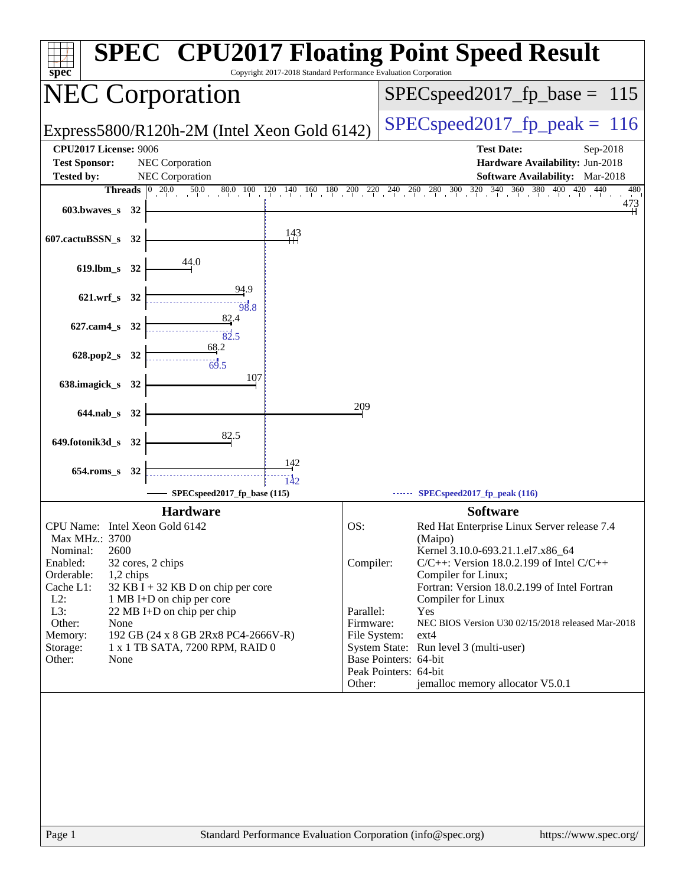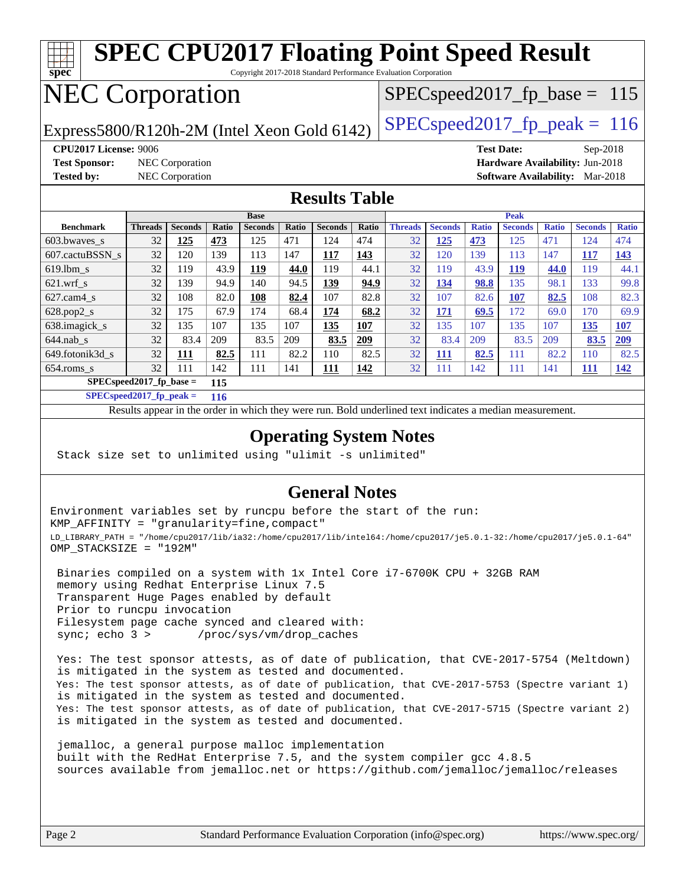

**[SPECspeed2017\\_fp\\_peak =](http://www.spec.org/auto/cpu2017/Docs/result-fields.html#SPECspeed2017fppeak) 116**

Results appear in the [order in which they were run.](http://www.spec.org/auto/cpu2017/Docs/result-fields.html#RunOrder) Bold underlined text [indicates a median measurement](http://www.spec.org/auto/cpu2017/Docs/result-fields.html#Median).

#### **[Operating System Notes](http://www.spec.org/auto/cpu2017/Docs/result-fields.html#OperatingSystemNotes)**

Stack size set to unlimited using "ulimit -s unlimited"

#### **[General Notes](http://www.spec.org/auto/cpu2017/Docs/result-fields.html#GeneralNotes)**

Environment variables set by runcpu before the start of the run: KMP\_AFFINITY = "granularity=fine,compact" LD\_LIBRARY\_PATH = "/home/cpu2017/lib/ia32:/home/cpu2017/lib/intel64:/home/cpu2017/je5.0.1-32:/home/cpu2017/je5.0.1-64" OMP\_STACKSIZE = "192M"

 Binaries compiled on a system with 1x Intel Core i7-6700K CPU + 32GB RAM memory using Redhat Enterprise Linux 7.5 Transparent Huge Pages enabled by default Prior to runcpu invocation Filesystem page cache synced and cleared with: sync; echo 3 > /proc/sys/vm/drop\_caches

 Yes: The test sponsor attests, as of date of publication, that CVE-2017-5754 (Meltdown) is mitigated in the system as tested and documented. Yes: The test sponsor attests, as of date of publication, that CVE-2017-5753 (Spectre variant 1) is mitigated in the system as tested and documented. Yes: The test sponsor attests, as of date of publication, that CVE-2017-5715 (Spectre variant 2) is mitigated in the system as tested and documented.

 jemalloc, a general purpose malloc implementation built with the RedHat Enterprise 7.5, and the system compiler gcc 4.8.5 sources available from jemalloc.net or <https://github.com/jemalloc/jemalloc/releases>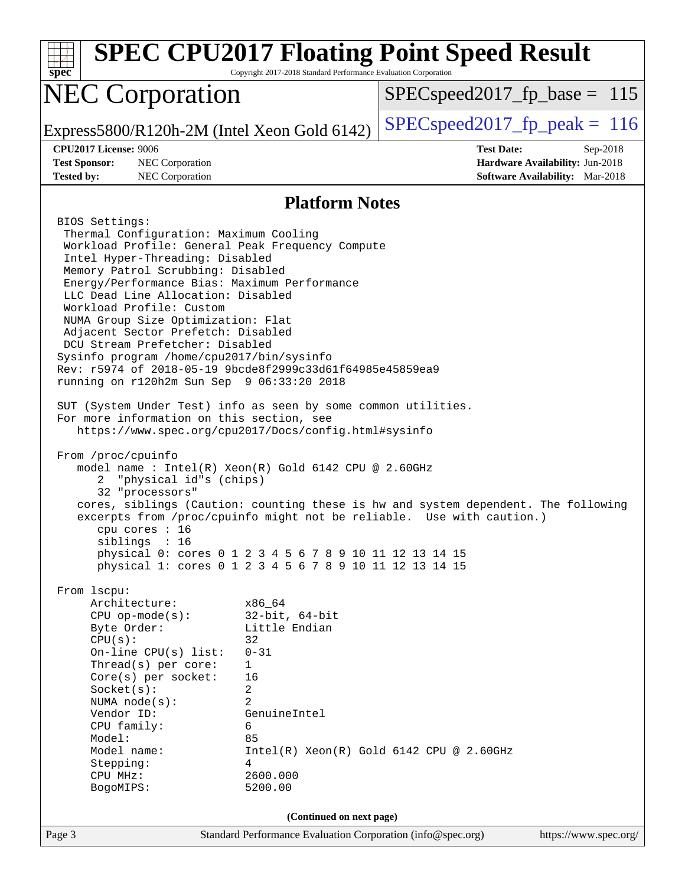| $spec^*$                                                                                                                                                                                                                                                                                                                                                                                                                                                                                                                                                                                                                                        | Copyright 2017-2018 Standard Performance Evaluation Corporation                                                                                            | <b>SPEC CPU2017 Floating Point Speed Result</b>                                                                                                             |
|-------------------------------------------------------------------------------------------------------------------------------------------------------------------------------------------------------------------------------------------------------------------------------------------------------------------------------------------------------------------------------------------------------------------------------------------------------------------------------------------------------------------------------------------------------------------------------------------------------------------------------------------------|------------------------------------------------------------------------------------------------------------------------------------------------------------|-------------------------------------------------------------------------------------------------------------------------------------------------------------|
| <b>NEC Corporation</b>                                                                                                                                                                                                                                                                                                                                                                                                                                                                                                                                                                                                                          |                                                                                                                                                            | $SPEC speed2017_f p\_base = 115$                                                                                                                            |
| Express5800/R120h-2M (Intel Xeon Gold 6142)                                                                                                                                                                                                                                                                                                                                                                                                                                                                                                                                                                                                     |                                                                                                                                                            | $SPEC speed2017_fp\_peak = 116$                                                                                                                             |
| <b>CPU2017 License: 9006</b><br><b>Test Sponsor:</b><br>NEC Corporation<br><b>Tested by:</b><br>NEC Corporation                                                                                                                                                                                                                                                                                                                                                                                                                                                                                                                                 |                                                                                                                                                            | <b>Test Date:</b><br>Sep-2018<br>Hardware Availability: Jun-2018<br>Software Availability: Mar-2018                                                         |
|                                                                                                                                                                                                                                                                                                                                                                                                                                                                                                                                                                                                                                                 | <b>Platform Notes</b>                                                                                                                                      |                                                                                                                                                             |
| BIOS Settings:<br>Thermal Configuration: Maximum Cooling<br>Workload Profile: General Peak Frequency Compute<br>Intel Hyper-Threading: Disabled<br>Memory Patrol Scrubbing: Disabled<br>Energy/Performance Bias: Maximum Performance<br>LLC Dead Line Allocation: Disabled<br>Workload Profile: Custom<br>NUMA Group Size Optimization: Flat<br>Adjacent Sector Prefetch: Disabled<br>DCU Stream Prefetcher: Disabled<br>Sysinfo program /home/cpu2017/bin/sysinfo<br>Rev: r5974 of 2018-05-19 9bcde8f2999c33d61f64985e45859ea9<br>running on r120h2m Sun Sep 9 06:33:20 2018<br>SUT (System Under Test) info as seen by some common utilities. |                                                                                                                                                            |                                                                                                                                                             |
| For more information on this section, see<br>https://www.spec.org/cpu2017/Docs/config.html#sysinfo<br>From /proc/cpuinfo<br>model name : Intel(R) Xeon(R) Gold 6142 CPU @ 2.60GHz<br>"physical id"s (chips)<br>2<br>32 "processors"<br>cpu cores : 16<br>siblings : 16<br>physical 0: cores 0 1 2 3 4 5 6 7 8 9 10 11 12 13 14 15<br>physical 1: cores 0 1 2 3 4 5 6 7 8 9 10 11 12 13 14 15                                                                                                                                                                                                                                                    |                                                                                                                                                            | cores, siblings (Caution: counting these is hw and system dependent. The following<br>excerpts from /proc/cpuinfo might not be reliable. Use with caution.) |
| From 1scpu:<br>Architecture:<br>$CPU$ op-mode( $s$ ):<br>Byte Order:<br>CPU(s):<br>On-line $CPU(s)$ list:<br>Thread(s) per core:<br>Core(s) per socket:<br>Socket(s):<br>NUMA $node(s):$<br>Vendor ID:<br>CPU family:<br>Model:<br>Model name:<br>Stepping:<br>CPU MHz:<br>BogoMIPS:                                                                                                                                                                                                                                                                                                                                                            | x86 64<br>$32$ -bit, $64$ -bit<br>Little Endian<br>32<br>$0 - 31$<br>1<br>16<br>2<br>$\overline{2}$<br>GenuineIntel<br>6<br>85<br>4<br>2600.000<br>5200.00 | $Intel(R) Xeon(R) Gold 6142 CPU @ 2.60GHz$                                                                                                                  |
| Page 3                                                                                                                                                                                                                                                                                                                                                                                                                                                                                                                                                                                                                                          | (Continued on next page)<br>Standard Performance Evaluation Corporation (info@spec.org)                                                                    | https://www.spec.org/                                                                                                                                       |
|                                                                                                                                                                                                                                                                                                                                                                                                                                                                                                                                                                                                                                                 |                                                                                                                                                            |                                                                                                                                                             |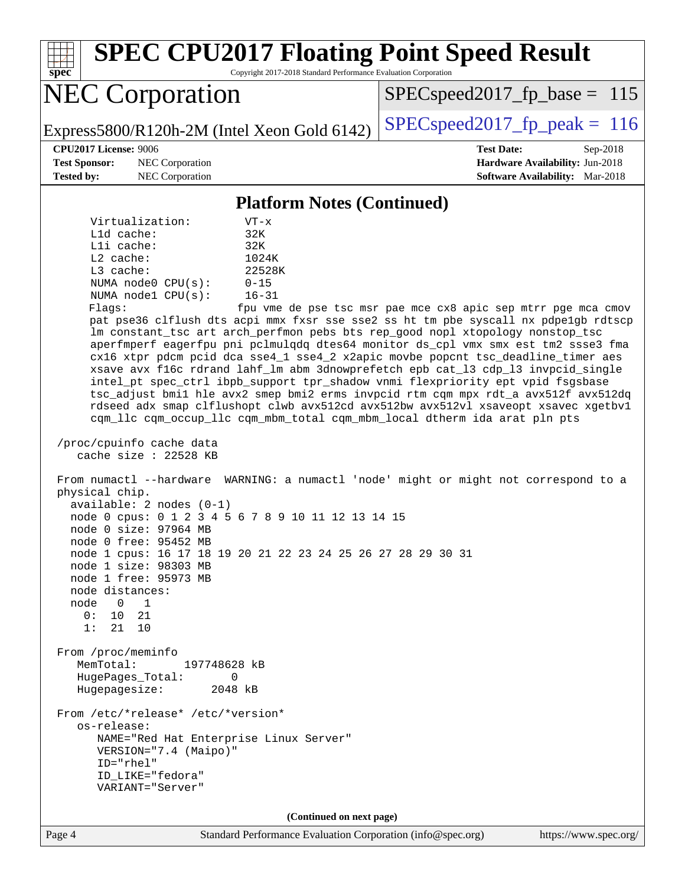Page 4 Standard Performance Evaluation Corporation [\(info@spec.org\)](mailto:info@spec.org) <https://www.spec.org/> **[spec](http://www.spec.org/) [SPEC CPU2017 Floating Point Speed Result](http://www.spec.org/auto/cpu2017/Docs/result-fields.html#SPECCPU2017FloatingPointSpeedResult)** Copyright 2017-2018 Standard Performance Evaluation Corporation NEC Corporation Express5800/R120h-2M (Intel Xeon Gold 6142)  $\left|$  [SPECspeed2017\\_fp\\_peak =](http://www.spec.org/auto/cpu2017/Docs/result-fields.html#SPECspeed2017fppeak) 116 SPECspeed2017 fp base =  $115$ **[CPU2017 License:](http://www.spec.org/auto/cpu2017/Docs/result-fields.html#CPU2017License)** 9006 **[Test Date:](http://www.spec.org/auto/cpu2017/Docs/result-fields.html#TestDate)** Sep-2018 **[Test Sponsor:](http://www.spec.org/auto/cpu2017/Docs/result-fields.html#TestSponsor)** NEC Corporation **[Hardware Availability:](http://www.spec.org/auto/cpu2017/Docs/result-fields.html#HardwareAvailability)** Jun-2018 **[Tested by:](http://www.spec.org/auto/cpu2017/Docs/result-fields.html#Testedby)** NEC Corporation **[Software Availability:](http://www.spec.org/auto/cpu2017/Docs/result-fields.html#SoftwareAvailability)** Mar-2018 **[Platform Notes \(Continued\)](http://www.spec.org/auto/cpu2017/Docs/result-fields.html#PlatformNotes)** Virtualization: VT-x L1d cache: 32K L1i cache: 32K L2 cache: 1024K L3 cache: 22528K NUMA node0 CPU(s): 0-15 NUMA node1 CPU(s): 16-31 Flags: fpu vme de pse tsc msr pae mce cx8 apic sep mtrr pge mca cmov pat pse36 clflush dts acpi mmx fxsr sse sse2 ss ht tm pbe syscall nx pdpe1gb rdtscp lm constant\_tsc art arch\_perfmon pebs bts rep\_good nopl xtopology nonstop\_tsc aperfmperf eagerfpu pni pclmulqdq dtes64 monitor ds\_cpl vmx smx est tm2 ssse3 fma cx16 xtpr pdcm pcid dca sse4\_1 sse4\_2 x2apic movbe popcnt tsc\_deadline\_timer aes xsave avx f16c rdrand lahf\_lm abm 3dnowprefetch epb cat\_l3 cdp\_l3 invpcid\_single intel\_pt spec\_ctrl ibpb\_support tpr\_shadow vnmi flexpriority ept vpid fsgsbase tsc\_adjust bmi1 hle avx2 smep bmi2 erms invpcid rtm cqm mpx rdt\_a avx512f avx512dq rdseed adx smap clflushopt clwb avx512cd avx512bw avx512vl xsaveopt xsavec xgetbv1 cqm\_llc cqm\_occup\_llc cqm\_mbm\_total cqm\_mbm\_local dtherm ida arat pln pts /proc/cpuinfo cache data cache size : 22528 KB From numactl --hardware WARNING: a numactl 'node' might or might not correspond to a physical chip. available: 2 nodes (0-1) node 0 cpus: 0 1 2 3 4 5 6 7 8 9 10 11 12 13 14 15 node 0 size: 97964 MB node 0 free: 95452 MB node 1 cpus: 16 17 18 19 20 21 22 23 24 25 26 27 28 29 30 31 node 1 size: 98303 MB node 1 free: 95973 MB node distances: node 0 1 0: 10 21 1: 21 10 From /proc/meminfo MemTotal: 197748628 kB HugePages\_Total: 0 Hugepagesize: 2048 kB From /etc/\*release\* /etc/\*version\* os-release: NAME="Red Hat Enterprise Linux Server" VERSION="7.4 (Maipo)" ID="rhel" ID\_LIKE="fedora" VARIANT="Server" **(Continued on next page)**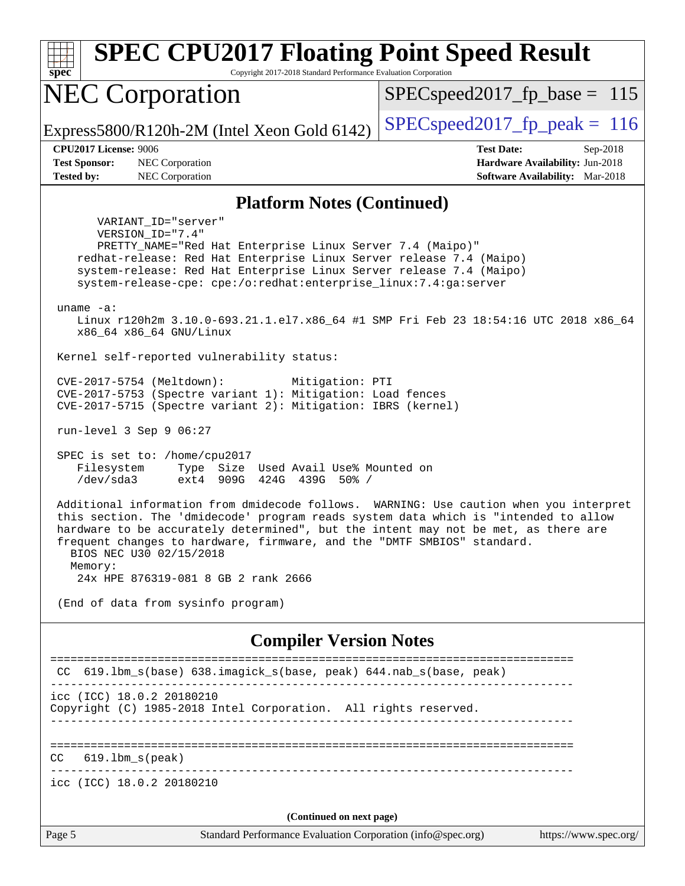| <b>SPEC CPU2017 Floating Point Speed Result</b><br>spec<br>Copyright 2017-2018 Standard Performance Evaluation Corporation                                                                                                                                                                                                                                                                                                                               |                                                                                                            |
|----------------------------------------------------------------------------------------------------------------------------------------------------------------------------------------------------------------------------------------------------------------------------------------------------------------------------------------------------------------------------------------------------------------------------------------------------------|------------------------------------------------------------------------------------------------------------|
| <b>NEC Corporation</b>                                                                                                                                                                                                                                                                                                                                                                                                                                   | $SPEC speed2017_f p\_base = 115$                                                                           |
| Express5800/R120h-2M (Intel Xeon Gold 6142)                                                                                                                                                                                                                                                                                                                                                                                                              | $SPEC speed2017_fp\_peak = 116$                                                                            |
| <b>CPU2017 License: 9006</b><br><b>Test Sponsor:</b><br>NEC Corporation<br><b>Tested by:</b><br>NEC Corporation                                                                                                                                                                                                                                                                                                                                          | <b>Test Date:</b><br>Sep-2018<br>Hardware Availability: Jun-2018<br><b>Software Availability:</b> Mar-2018 |
| <b>Platform Notes (Continued)</b>                                                                                                                                                                                                                                                                                                                                                                                                                        |                                                                                                            |
| VARIANT ID="server"<br>VERSION_ID="7.4"<br>PRETTY_NAME="Red Hat Enterprise Linux Server 7.4 (Maipo)"<br>redhat-release: Red Hat Enterprise Linux Server release 7.4 (Maipo)<br>system-release: Red Hat Enterprise Linux Server release 7.4 (Maipo)<br>system-release-cpe: cpe:/o:redhat:enterprise_linux:7.4:ga:server<br>uname $-a$ :<br>Linux r120h2m 3.10.0-693.21.1.el7.x86_64 #1 SMP Fri Feb 23 18:54:16 UTC 2018 x86_64<br>x86_64 x86_64 GNU/Linux |                                                                                                            |
| Kernel self-reported vulnerability status:                                                                                                                                                                                                                                                                                                                                                                                                               |                                                                                                            |
| CVE-2017-5754 (Meltdown):<br>Mitigation: PTI<br>CVE-2017-5753 (Spectre variant 1): Mitigation: Load fences<br>CVE-2017-5715 (Spectre variant 2): Mitigation: IBRS (kernel)<br>run-level 3 Sep 9 06:27                                                                                                                                                                                                                                                    |                                                                                                            |
| SPEC is set to: /home/cpu2017<br>Filesystem<br>Type Size Used Avail Use% Mounted on<br>/dev/sda3<br>ext4<br>909G 424G 439G 50% /                                                                                                                                                                                                                                                                                                                         |                                                                                                            |
| Additional information from dmidecode follows. WARNING: Use caution when you interpret<br>this section. The 'dmidecode' program reads system data which is "intended to allow<br>hardware to be accurately determined", but the intent may not be met, as there are<br>frequent changes to hardware, firmware, and the "DMTF SMBIOS" standard<br>BIOS NEC U30 02/15/2018<br>Memory:<br>24x HPE 876319-081 8 GB 2 rank 2666                               |                                                                                                            |
| (End of data from sysinfo program)                                                                                                                                                                                                                                                                                                                                                                                                                       |                                                                                                            |
| <b>Compiler Version Notes</b>                                                                                                                                                                                                                                                                                                                                                                                                                            |                                                                                                            |
| CC 619.1bm_s(base) 638.imagick_s(base, peak) 644.nab_s(base, peak)                                                                                                                                                                                                                                                                                                                                                                                       |                                                                                                            |
| icc (ICC) 18.0.2 20180210<br>Copyright (C) 1985-2018 Intel Corporation. All rights reserved.                                                                                                                                                                                                                                                                                                                                                             |                                                                                                            |
| $619.1$ bm_s(peak)<br>CC.                                                                                                                                                                                                                                                                                                                                                                                                                                |                                                                                                            |
| icc (ICC) 18.0.2 20180210                                                                                                                                                                                                                                                                                                                                                                                                                                |                                                                                                            |
|                                                                                                                                                                                                                                                                                                                                                                                                                                                          |                                                                                                            |
| (Continued on next page)<br>Standard Performance Evaluation Corporation (info@spec.org)<br>Page 5                                                                                                                                                                                                                                                                                                                                                        | https://www.spec.org/                                                                                      |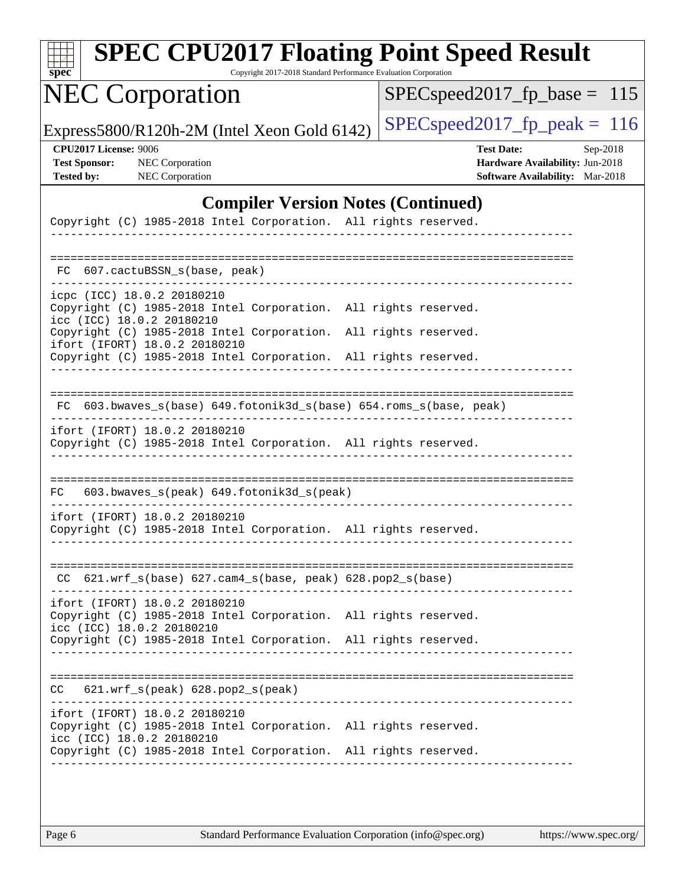| SI<br>۱C<br>L)<br>Ľ<br>۱ |  |  |  |  |  |
|--------------------------|--|--|--|--|--|

# **[SPEC CPU2017 Floating Point Speed Result](http://www.spec.org/auto/cpu2017/Docs/result-fields.html#SPECCPU2017FloatingPointSpeedResult)**

Copyright 2017-2018 Standard Performance Evaluation Corporation

## NEC Corporation

[SPECspeed2017\\_fp\\_base =](http://www.spec.org/auto/cpu2017/Docs/result-fields.html#SPECspeed2017fpbase) 115

Express5800/R120h-2M (Intel Xeon Gold 6142)  $\left|$  [SPECspeed2017\\_fp\\_peak =](http://www.spec.org/auto/cpu2017/Docs/result-fields.html#SPECspeed2017fppeak) 116

**[CPU2017 License:](http://www.spec.org/auto/cpu2017/Docs/result-fields.html#CPU2017License)** 9006 **[Test Date:](http://www.spec.org/auto/cpu2017/Docs/result-fields.html#TestDate)** Sep-2018 **[Test Sponsor:](http://www.spec.org/auto/cpu2017/Docs/result-fields.html#TestSponsor)** NEC Corporation **[Hardware Availability:](http://www.spec.org/auto/cpu2017/Docs/result-fields.html#HardwareAvailability)** Jun-2018 **[Tested by:](http://www.spec.org/auto/cpu2017/Docs/result-fields.html#Testedby)** NEC Corporation **[Software Availability:](http://www.spec.org/auto/cpu2017/Docs/result-fields.html#SoftwareAvailability)** Mar-2018

#### **[Compiler Version Notes \(Continued\)](http://www.spec.org/auto/cpu2017/Docs/result-fields.html#CompilerVersionNotes)**

| Copyright (C) 1985-2018 Intel Corporation. All rights reserved.                                                                                                                                                                      |  |
|--------------------------------------------------------------------------------------------------------------------------------------------------------------------------------------------------------------------------------------|--|
| FC 607. cactuBSSN s(base, peak)                                                                                                                                                                                                      |  |
| icpc (ICC) 18.0.2 20180210<br>Copyright (C) 1985-2018 Intel Corporation.<br>All rights reserved.<br>icc (ICC) 18.0.2 20180210<br>Copyright (C) 1985-2018 Intel Corporation.<br>All rights reserved.<br>ifort (IFORT) 18.0.2 20180210 |  |
| Copyright (C) 1985-2018 Intel Corporation.<br>All rights reserved.                                                                                                                                                                   |  |
| FC 603.bwaves_s(base) 649.fotonik3d_s(base) 654.roms_s(base, peak)                                                                                                                                                                   |  |
| ifort (IFORT) 18.0.2 20180210<br>Copyright (C) 1985-2018 Intel Corporation. All rights reserved.                                                                                                                                     |  |
| 603.bwaves_s(peak) 649.fotonik3d_s(peak)<br>FC                                                                                                                                                                                       |  |
| ifort (IFORT) 18.0.2 20180210<br>Copyright (C) 1985-2018 Intel Corporation. All rights reserved.                                                                                                                                     |  |
| CC 621.wrf_s(base) 627.cam4_s(base, peak) 628.pop2_s(base)                                                                                                                                                                           |  |
| ifort (IFORT) 18.0.2 20180210<br>Copyright (C) 1985-2018 Intel Corporation.<br>All rights reserved.<br>icc (ICC) 18.0.2 20180210<br>Copyright (C) 1985-2018 Intel Corporation. All rights reserved.                                  |  |
| 621.wrf_s(peak) 628.pop2_s(peak)<br>CC                                                                                                                                                                                               |  |
| ifort (IFORT) 18.0.2 20180210<br>Copyright (C) 1985-2018 Intel Corporation. All rights reserved.<br>icc (ICC) 18.0.2 20180210<br>Copyright (C) 1985-2018 Intel Corporation. All rights reserved.                                     |  |
|                                                                                                                                                                                                                                      |  |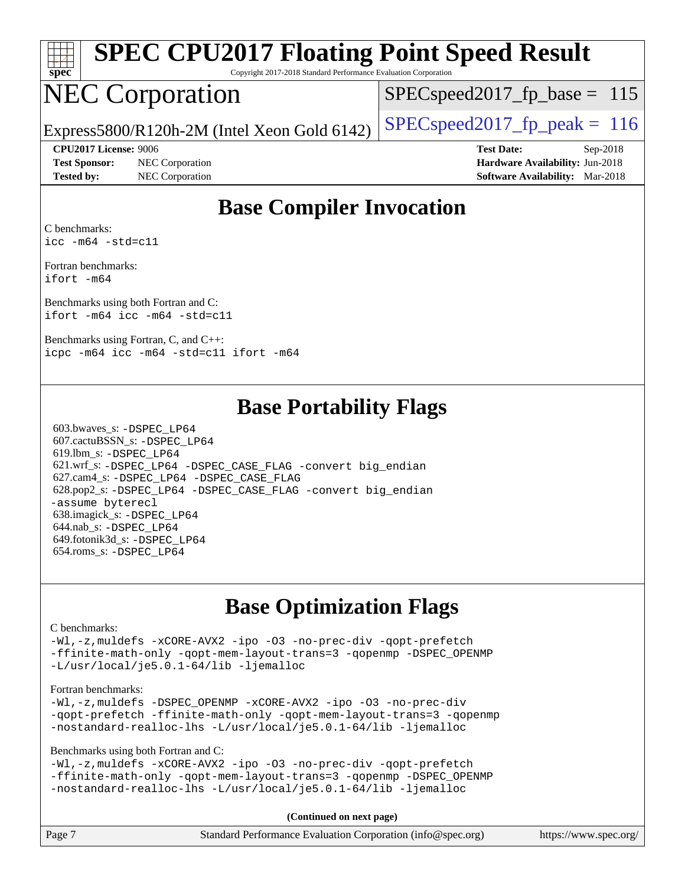| spe<br>Ľ<br>۹ |  |  |  |  |  |
|---------------|--|--|--|--|--|

# **[SPEC CPU2017 Floating Point Speed Result](http://www.spec.org/auto/cpu2017/Docs/result-fields.html#SPECCPU2017FloatingPointSpeedResult)**

Copyright 2017-2018 Standard Performance Evaluation Corporation

## NEC Corporation

SPECspeed2017 fp base =  $115$ 

Express5800/R120h-2M (Intel Xeon Gold 6142)  $\left|$  [SPECspeed2017\\_fp\\_peak =](http://www.spec.org/auto/cpu2017/Docs/result-fields.html#SPECspeed2017fppeak) 116

**[Test Sponsor:](http://www.spec.org/auto/cpu2017/Docs/result-fields.html#TestSponsor)** NEC Corporation **[Hardware Availability:](http://www.spec.org/auto/cpu2017/Docs/result-fields.html#HardwareAvailability)** Jun-2018

**[CPU2017 License:](http://www.spec.org/auto/cpu2017/Docs/result-fields.html#CPU2017License)** 9006 **[Test Date:](http://www.spec.org/auto/cpu2017/Docs/result-fields.html#TestDate)** Sep-2018 **[Tested by:](http://www.spec.org/auto/cpu2017/Docs/result-fields.html#Testedby)** NEC Corporation **[Software Availability:](http://www.spec.org/auto/cpu2017/Docs/result-fields.html#SoftwareAvailability)** Mar-2018

#### **[Base Compiler Invocation](http://www.spec.org/auto/cpu2017/Docs/result-fields.html#BaseCompilerInvocation)**

[C benchmarks](http://www.spec.org/auto/cpu2017/Docs/result-fields.html#Cbenchmarks): [icc -m64 -std=c11](http://www.spec.org/cpu2017/results/res2018q4/cpu2017-20180917-08888.flags.html#user_CCbase_intel_icc_64bit_c11_33ee0cdaae7deeeab2a9725423ba97205ce30f63b9926c2519791662299b76a0318f32ddfffdc46587804de3178b4f9328c46fa7c2b0cd779d7a61945c91cd35)

[Fortran benchmarks](http://www.spec.org/auto/cpu2017/Docs/result-fields.html#Fortranbenchmarks): [ifort -m64](http://www.spec.org/cpu2017/results/res2018q4/cpu2017-20180917-08888.flags.html#user_FCbase_intel_ifort_64bit_24f2bb282fbaeffd6157abe4f878425411749daecae9a33200eee2bee2fe76f3b89351d69a8130dd5949958ce389cf37ff59a95e7a40d588e8d3a57e0c3fd751)

[Benchmarks using both Fortran and C](http://www.spec.org/auto/cpu2017/Docs/result-fields.html#BenchmarksusingbothFortranandC): [ifort -m64](http://www.spec.org/cpu2017/results/res2018q4/cpu2017-20180917-08888.flags.html#user_CC_FCbase_intel_ifort_64bit_24f2bb282fbaeffd6157abe4f878425411749daecae9a33200eee2bee2fe76f3b89351d69a8130dd5949958ce389cf37ff59a95e7a40d588e8d3a57e0c3fd751) [icc -m64 -std=c11](http://www.spec.org/cpu2017/results/res2018q4/cpu2017-20180917-08888.flags.html#user_CC_FCbase_intel_icc_64bit_c11_33ee0cdaae7deeeab2a9725423ba97205ce30f63b9926c2519791662299b76a0318f32ddfffdc46587804de3178b4f9328c46fa7c2b0cd779d7a61945c91cd35)

[Benchmarks using Fortran, C, and C++](http://www.spec.org/auto/cpu2017/Docs/result-fields.html#BenchmarksusingFortranCandCXX): [icpc -m64](http://www.spec.org/cpu2017/results/res2018q4/cpu2017-20180917-08888.flags.html#user_CC_CXX_FCbase_intel_icpc_64bit_4ecb2543ae3f1412ef961e0650ca070fec7b7afdcd6ed48761b84423119d1bf6bdf5cad15b44d48e7256388bc77273b966e5eb805aefd121eb22e9299b2ec9d9) [icc -m64 -std=c11](http://www.spec.org/cpu2017/results/res2018q4/cpu2017-20180917-08888.flags.html#user_CC_CXX_FCbase_intel_icc_64bit_c11_33ee0cdaae7deeeab2a9725423ba97205ce30f63b9926c2519791662299b76a0318f32ddfffdc46587804de3178b4f9328c46fa7c2b0cd779d7a61945c91cd35) [ifort -m64](http://www.spec.org/cpu2017/results/res2018q4/cpu2017-20180917-08888.flags.html#user_CC_CXX_FCbase_intel_ifort_64bit_24f2bb282fbaeffd6157abe4f878425411749daecae9a33200eee2bee2fe76f3b89351d69a8130dd5949958ce389cf37ff59a95e7a40d588e8d3a57e0c3fd751)

#### **[Base Portability Flags](http://www.spec.org/auto/cpu2017/Docs/result-fields.html#BasePortabilityFlags)**

 603.bwaves\_s: [-DSPEC\\_LP64](http://www.spec.org/cpu2017/results/res2018q4/cpu2017-20180917-08888.flags.html#suite_basePORTABILITY603_bwaves_s_DSPEC_LP64) 607.cactuBSSN\_s: [-DSPEC\\_LP64](http://www.spec.org/cpu2017/results/res2018q4/cpu2017-20180917-08888.flags.html#suite_basePORTABILITY607_cactuBSSN_s_DSPEC_LP64) 619.lbm\_s: [-DSPEC\\_LP64](http://www.spec.org/cpu2017/results/res2018q4/cpu2017-20180917-08888.flags.html#suite_basePORTABILITY619_lbm_s_DSPEC_LP64) 621.wrf\_s: [-DSPEC\\_LP64](http://www.spec.org/cpu2017/results/res2018q4/cpu2017-20180917-08888.flags.html#suite_basePORTABILITY621_wrf_s_DSPEC_LP64) [-DSPEC\\_CASE\\_FLAG](http://www.spec.org/cpu2017/results/res2018q4/cpu2017-20180917-08888.flags.html#b621.wrf_s_baseCPORTABILITY_DSPEC_CASE_FLAG) [-convert big\\_endian](http://www.spec.org/cpu2017/results/res2018q4/cpu2017-20180917-08888.flags.html#user_baseFPORTABILITY621_wrf_s_convert_big_endian_c3194028bc08c63ac5d04de18c48ce6d347e4e562e8892b8bdbdc0214820426deb8554edfa529a3fb25a586e65a3d812c835984020483e7e73212c4d31a38223) 627.cam4\_s: [-DSPEC\\_LP64](http://www.spec.org/cpu2017/results/res2018q4/cpu2017-20180917-08888.flags.html#suite_basePORTABILITY627_cam4_s_DSPEC_LP64) [-DSPEC\\_CASE\\_FLAG](http://www.spec.org/cpu2017/results/res2018q4/cpu2017-20180917-08888.flags.html#b627.cam4_s_baseCPORTABILITY_DSPEC_CASE_FLAG) 628.pop2\_s: [-DSPEC\\_LP64](http://www.spec.org/cpu2017/results/res2018q4/cpu2017-20180917-08888.flags.html#suite_basePORTABILITY628_pop2_s_DSPEC_LP64) [-DSPEC\\_CASE\\_FLAG](http://www.spec.org/cpu2017/results/res2018q4/cpu2017-20180917-08888.flags.html#b628.pop2_s_baseCPORTABILITY_DSPEC_CASE_FLAG) [-convert big\\_endian](http://www.spec.org/cpu2017/results/res2018q4/cpu2017-20180917-08888.flags.html#user_baseFPORTABILITY628_pop2_s_convert_big_endian_c3194028bc08c63ac5d04de18c48ce6d347e4e562e8892b8bdbdc0214820426deb8554edfa529a3fb25a586e65a3d812c835984020483e7e73212c4d31a38223) [-assume byterecl](http://www.spec.org/cpu2017/results/res2018q4/cpu2017-20180917-08888.flags.html#user_baseFPORTABILITY628_pop2_s_assume_byterecl_7e47d18b9513cf18525430bbf0f2177aa9bf368bc7a059c09b2c06a34b53bd3447c950d3f8d6c70e3faf3a05c8557d66a5798b567902e8849adc142926523472) 638.imagick\_s: [-DSPEC\\_LP64](http://www.spec.org/cpu2017/results/res2018q4/cpu2017-20180917-08888.flags.html#suite_basePORTABILITY638_imagick_s_DSPEC_LP64) 644.nab\_s: [-DSPEC\\_LP64](http://www.spec.org/cpu2017/results/res2018q4/cpu2017-20180917-08888.flags.html#suite_basePORTABILITY644_nab_s_DSPEC_LP64) 649.fotonik3d\_s: [-DSPEC\\_LP64](http://www.spec.org/cpu2017/results/res2018q4/cpu2017-20180917-08888.flags.html#suite_basePORTABILITY649_fotonik3d_s_DSPEC_LP64) 654.roms\_s: [-DSPEC\\_LP64](http://www.spec.org/cpu2017/results/res2018q4/cpu2017-20180917-08888.flags.html#suite_basePORTABILITY654_roms_s_DSPEC_LP64)

### **[Base Optimization Flags](http://www.spec.org/auto/cpu2017/Docs/result-fields.html#BaseOptimizationFlags)**

#### [C benchmarks](http://www.spec.org/auto/cpu2017/Docs/result-fields.html#Cbenchmarks):

[-Wl,-z,muldefs](http://www.spec.org/cpu2017/results/res2018q4/cpu2017-20180917-08888.flags.html#user_CCbase_link_force_multiple1_b4cbdb97b34bdee9ceefcfe54f4c8ea74255f0b02a4b23e853cdb0e18eb4525ac79b5a88067c842dd0ee6996c24547a27a4b99331201badda8798ef8a743f577) [-xCORE-AVX2](http://www.spec.org/cpu2017/results/res2018q4/cpu2017-20180917-08888.flags.html#user_CCbase_f-xCORE-AVX2) [-ipo](http://www.spec.org/cpu2017/results/res2018q4/cpu2017-20180917-08888.flags.html#user_CCbase_f-ipo) [-O3](http://www.spec.org/cpu2017/results/res2018q4/cpu2017-20180917-08888.flags.html#user_CCbase_f-O3) [-no-prec-div](http://www.spec.org/cpu2017/results/res2018q4/cpu2017-20180917-08888.flags.html#user_CCbase_f-no-prec-div) [-qopt-prefetch](http://www.spec.org/cpu2017/results/res2018q4/cpu2017-20180917-08888.flags.html#user_CCbase_f-qopt-prefetch) [-ffinite-math-only](http://www.spec.org/cpu2017/results/res2018q4/cpu2017-20180917-08888.flags.html#user_CCbase_f_finite_math_only_cb91587bd2077682c4b38af759c288ed7c732db004271a9512da14a4f8007909a5f1427ecbf1a0fb78ff2a814402c6114ac565ca162485bbcae155b5e4258871) [-qopt-mem-layout-trans=3](http://www.spec.org/cpu2017/results/res2018q4/cpu2017-20180917-08888.flags.html#user_CCbase_f-qopt-mem-layout-trans_de80db37974c74b1f0e20d883f0b675c88c3b01e9d123adea9b28688d64333345fb62bc4a798493513fdb68f60282f9a726aa07f478b2f7113531aecce732043) [-qopenmp](http://www.spec.org/cpu2017/results/res2018q4/cpu2017-20180917-08888.flags.html#user_CCbase_qopenmp_16be0c44f24f464004c6784a7acb94aca937f053568ce72f94b139a11c7c168634a55f6653758ddd83bcf7b8463e8028bb0b48b77bcddc6b78d5d95bb1df2967) [-DSPEC\\_OPENMP](http://www.spec.org/cpu2017/results/res2018q4/cpu2017-20180917-08888.flags.html#suite_CCbase_DSPEC_OPENMP) [-L/usr/local/je5.0.1-64/lib](http://www.spec.org/cpu2017/results/res2018q4/cpu2017-20180917-08888.flags.html#user_CCbase_jemalloc_link_path64_4b10a636b7bce113509b17f3bd0d6226c5fb2346b9178c2d0232c14f04ab830f976640479e5c33dc2bcbbdad86ecfb6634cbbd4418746f06f368b512fced5394) [-ljemalloc](http://www.spec.org/cpu2017/results/res2018q4/cpu2017-20180917-08888.flags.html#user_CCbase_jemalloc_link_lib_d1249b907c500fa1c0672f44f562e3d0f79738ae9e3c4a9c376d49f265a04b9c99b167ecedbf6711b3085be911c67ff61f150a17b3472be731631ba4d0471706)

#### [Fortran benchmarks](http://www.spec.org/auto/cpu2017/Docs/result-fields.html#Fortranbenchmarks):

[-Wl,-z,muldefs](http://www.spec.org/cpu2017/results/res2018q4/cpu2017-20180917-08888.flags.html#user_FCbase_link_force_multiple1_b4cbdb97b34bdee9ceefcfe54f4c8ea74255f0b02a4b23e853cdb0e18eb4525ac79b5a88067c842dd0ee6996c24547a27a4b99331201badda8798ef8a743f577) [-DSPEC\\_OPENMP](http://www.spec.org/cpu2017/results/res2018q4/cpu2017-20180917-08888.flags.html#suite_FCbase_DSPEC_OPENMP) [-xCORE-AVX2](http://www.spec.org/cpu2017/results/res2018q4/cpu2017-20180917-08888.flags.html#user_FCbase_f-xCORE-AVX2) [-ipo](http://www.spec.org/cpu2017/results/res2018q4/cpu2017-20180917-08888.flags.html#user_FCbase_f-ipo) [-O3](http://www.spec.org/cpu2017/results/res2018q4/cpu2017-20180917-08888.flags.html#user_FCbase_f-O3) [-no-prec-div](http://www.spec.org/cpu2017/results/res2018q4/cpu2017-20180917-08888.flags.html#user_FCbase_f-no-prec-div) [-qopt-prefetch](http://www.spec.org/cpu2017/results/res2018q4/cpu2017-20180917-08888.flags.html#user_FCbase_f-qopt-prefetch) [-ffinite-math-only](http://www.spec.org/cpu2017/results/res2018q4/cpu2017-20180917-08888.flags.html#user_FCbase_f_finite_math_only_cb91587bd2077682c4b38af759c288ed7c732db004271a9512da14a4f8007909a5f1427ecbf1a0fb78ff2a814402c6114ac565ca162485bbcae155b5e4258871) [-qopt-mem-layout-trans=3](http://www.spec.org/cpu2017/results/res2018q4/cpu2017-20180917-08888.flags.html#user_FCbase_f-qopt-mem-layout-trans_de80db37974c74b1f0e20d883f0b675c88c3b01e9d123adea9b28688d64333345fb62bc4a798493513fdb68f60282f9a726aa07f478b2f7113531aecce732043) [-qopenmp](http://www.spec.org/cpu2017/results/res2018q4/cpu2017-20180917-08888.flags.html#user_FCbase_qopenmp_16be0c44f24f464004c6784a7acb94aca937f053568ce72f94b139a11c7c168634a55f6653758ddd83bcf7b8463e8028bb0b48b77bcddc6b78d5d95bb1df2967) [-nostandard-realloc-lhs](http://www.spec.org/cpu2017/results/res2018q4/cpu2017-20180917-08888.flags.html#user_FCbase_f_2003_std_realloc_82b4557e90729c0f113870c07e44d33d6f5a304b4f63d4c15d2d0f1fab99f5daaed73bdb9275d9ae411527f28b936061aa8b9c8f2d63842963b95c9dd6426b8a) [-L/usr/local/je5.0.1-64/lib](http://www.spec.org/cpu2017/results/res2018q4/cpu2017-20180917-08888.flags.html#user_FCbase_jemalloc_link_path64_4b10a636b7bce113509b17f3bd0d6226c5fb2346b9178c2d0232c14f04ab830f976640479e5c33dc2bcbbdad86ecfb6634cbbd4418746f06f368b512fced5394) [-ljemalloc](http://www.spec.org/cpu2017/results/res2018q4/cpu2017-20180917-08888.flags.html#user_FCbase_jemalloc_link_lib_d1249b907c500fa1c0672f44f562e3d0f79738ae9e3c4a9c376d49f265a04b9c99b167ecedbf6711b3085be911c67ff61f150a17b3472be731631ba4d0471706)

[Benchmarks using both Fortran and C](http://www.spec.org/auto/cpu2017/Docs/result-fields.html#BenchmarksusingbothFortranandC):

[-Wl,-z,muldefs](http://www.spec.org/cpu2017/results/res2018q4/cpu2017-20180917-08888.flags.html#user_CC_FCbase_link_force_multiple1_b4cbdb97b34bdee9ceefcfe54f4c8ea74255f0b02a4b23e853cdb0e18eb4525ac79b5a88067c842dd0ee6996c24547a27a4b99331201badda8798ef8a743f577) [-xCORE-AVX2](http://www.spec.org/cpu2017/results/res2018q4/cpu2017-20180917-08888.flags.html#user_CC_FCbase_f-xCORE-AVX2) [-ipo](http://www.spec.org/cpu2017/results/res2018q4/cpu2017-20180917-08888.flags.html#user_CC_FCbase_f-ipo) [-O3](http://www.spec.org/cpu2017/results/res2018q4/cpu2017-20180917-08888.flags.html#user_CC_FCbase_f-O3) [-no-prec-div](http://www.spec.org/cpu2017/results/res2018q4/cpu2017-20180917-08888.flags.html#user_CC_FCbase_f-no-prec-div) [-qopt-prefetch](http://www.spec.org/cpu2017/results/res2018q4/cpu2017-20180917-08888.flags.html#user_CC_FCbase_f-qopt-prefetch) [-ffinite-math-only](http://www.spec.org/cpu2017/results/res2018q4/cpu2017-20180917-08888.flags.html#user_CC_FCbase_f_finite_math_only_cb91587bd2077682c4b38af759c288ed7c732db004271a9512da14a4f8007909a5f1427ecbf1a0fb78ff2a814402c6114ac565ca162485bbcae155b5e4258871) [-qopt-mem-layout-trans=3](http://www.spec.org/cpu2017/results/res2018q4/cpu2017-20180917-08888.flags.html#user_CC_FCbase_f-qopt-mem-layout-trans_de80db37974c74b1f0e20d883f0b675c88c3b01e9d123adea9b28688d64333345fb62bc4a798493513fdb68f60282f9a726aa07f478b2f7113531aecce732043) [-qopenmp](http://www.spec.org/cpu2017/results/res2018q4/cpu2017-20180917-08888.flags.html#user_CC_FCbase_qopenmp_16be0c44f24f464004c6784a7acb94aca937f053568ce72f94b139a11c7c168634a55f6653758ddd83bcf7b8463e8028bb0b48b77bcddc6b78d5d95bb1df2967) [-DSPEC\\_OPENMP](http://www.spec.org/cpu2017/results/res2018q4/cpu2017-20180917-08888.flags.html#suite_CC_FCbase_DSPEC_OPENMP) [-nostandard-realloc-lhs](http://www.spec.org/cpu2017/results/res2018q4/cpu2017-20180917-08888.flags.html#user_CC_FCbase_f_2003_std_realloc_82b4557e90729c0f113870c07e44d33d6f5a304b4f63d4c15d2d0f1fab99f5daaed73bdb9275d9ae411527f28b936061aa8b9c8f2d63842963b95c9dd6426b8a) [-L/usr/local/je5.0.1-64/lib](http://www.spec.org/cpu2017/results/res2018q4/cpu2017-20180917-08888.flags.html#user_CC_FCbase_jemalloc_link_path64_4b10a636b7bce113509b17f3bd0d6226c5fb2346b9178c2d0232c14f04ab830f976640479e5c33dc2bcbbdad86ecfb6634cbbd4418746f06f368b512fced5394) [-ljemalloc](http://www.spec.org/cpu2017/results/res2018q4/cpu2017-20180917-08888.flags.html#user_CC_FCbase_jemalloc_link_lib_d1249b907c500fa1c0672f44f562e3d0f79738ae9e3c4a9c376d49f265a04b9c99b167ecedbf6711b3085be911c67ff61f150a17b3472be731631ba4d0471706)

**(Continued on next page)**

| Page 7 | Standard Performance Evaluation Corporation (info@spec.org) | https://www.spec.org/ |
|--------|-------------------------------------------------------------|-----------------------|
|--------|-------------------------------------------------------------|-----------------------|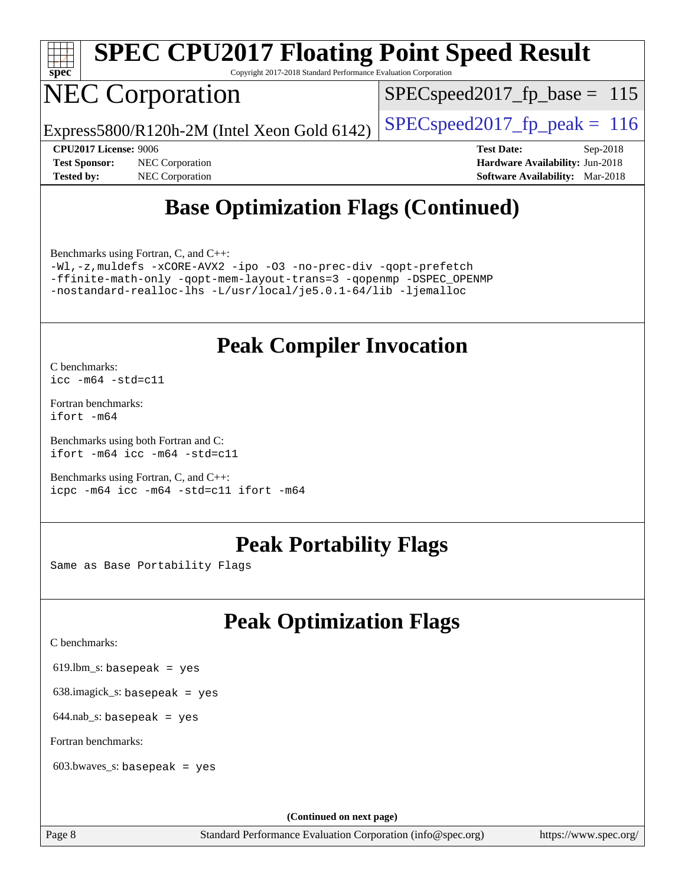

# **[SPEC CPU2017 Floating Point Speed Result](http://www.spec.org/auto/cpu2017/Docs/result-fields.html#SPECCPU2017FloatingPointSpeedResult)**

Copyright 2017-2018 Standard Performance Evaluation Corporation

## NEC Corporation

SPECspeed2017 fp base =  $115$ 

Express5800/R120h-2M (Intel Xeon Gold 6142)  $\left|$  [SPECspeed2017\\_fp\\_peak =](http://www.spec.org/auto/cpu2017/Docs/result-fields.html#SPECspeed2017fppeak) 116

**[Tested by:](http://www.spec.org/auto/cpu2017/Docs/result-fields.html#Testedby)** NEC Corporation **[Software Availability:](http://www.spec.org/auto/cpu2017/Docs/result-fields.html#SoftwareAvailability)** Mar-2018

**[CPU2017 License:](http://www.spec.org/auto/cpu2017/Docs/result-fields.html#CPU2017License)** 9006 **[Test Date:](http://www.spec.org/auto/cpu2017/Docs/result-fields.html#TestDate)** Sep-2018 **[Test Sponsor:](http://www.spec.org/auto/cpu2017/Docs/result-fields.html#TestSponsor)** NEC Corporation **[Hardware Availability:](http://www.spec.org/auto/cpu2017/Docs/result-fields.html#HardwareAvailability)** Jun-2018

## **[Base Optimization Flags \(Continued\)](http://www.spec.org/auto/cpu2017/Docs/result-fields.html#BaseOptimizationFlags)**

[Benchmarks using Fortran, C, and C++:](http://www.spec.org/auto/cpu2017/Docs/result-fields.html#BenchmarksusingFortranCandCXX)

[-Wl,-z,muldefs](http://www.spec.org/cpu2017/results/res2018q4/cpu2017-20180917-08888.flags.html#user_CC_CXX_FCbase_link_force_multiple1_b4cbdb97b34bdee9ceefcfe54f4c8ea74255f0b02a4b23e853cdb0e18eb4525ac79b5a88067c842dd0ee6996c24547a27a4b99331201badda8798ef8a743f577) [-xCORE-AVX2](http://www.spec.org/cpu2017/results/res2018q4/cpu2017-20180917-08888.flags.html#user_CC_CXX_FCbase_f-xCORE-AVX2) [-ipo](http://www.spec.org/cpu2017/results/res2018q4/cpu2017-20180917-08888.flags.html#user_CC_CXX_FCbase_f-ipo) [-O3](http://www.spec.org/cpu2017/results/res2018q4/cpu2017-20180917-08888.flags.html#user_CC_CXX_FCbase_f-O3) [-no-prec-div](http://www.spec.org/cpu2017/results/res2018q4/cpu2017-20180917-08888.flags.html#user_CC_CXX_FCbase_f-no-prec-div) [-qopt-prefetch](http://www.spec.org/cpu2017/results/res2018q4/cpu2017-20180917-08888.flags.html#user_CC_CXX_FCbase_f-qopt-prefetch) [-ffinite-math-only](http://www.spec.org/cpu2017/results/res2018q4/cpu2017-20180917-08888.flags.html#user_CC_CXX_FCbase_f_finite_math_only_cb91587bd2077682c4b38af759c288ed7c732db004271a9512da14a4f8007909a5f1427ecbf1a0fb78ff2a814402c6114ac565ca162485bbcae155b5e4258871) [-qopt-mem-layout-trans=3](http://www.spec.org/cpu2017/results/res2018q4/cpu2017-20180917-08888.flags.html#user_CC_CXX_FCbase_f-qopt-mem-layout-trans_de80db37974c74b1f0e20d883f0b675c88c3b01e9d123adea9b28688d64333345fb62bc4a798493513fdb68f60282f9a726aa07f478b2f7113531aecce732043) [-qopenmp](http://www.spec.org/cpu2017/results/res2018q4/cpu2017-20180917-08888.flags.html#user_CC_CXX_FCbase_qopenmp_16be0c44f24f464004c6784a7acb94aca937f053568ce72f94b139a11c7c168634a55f6653758ddd83bcf7b8463e8028bb0b48b77bcddc6b78d5d95bb1df2967) [-DSPEC\\_OPENMP](http://www.spec.org/cpu2017/results/res2018q4/cpu2017-20180917-08888.flags.html#suite_CC_CXX_FCbase_DSPEC_OPENMP) [-nostandard-realloc-lhs](http://www.spec.org/cpu2017/results/res2018q4/cpu2017-20180917-08888.flags.html#user_CC_CXX_FCbase_f_2003_std_realloc_82b4557e90729c0f113870c07e44d33d6f5a304b4f63d4c15d2d0f1fab99f5daaed73bdb9275d9ae411527f28b936061aa8b9c8f2d63842963b95c9dd6426b8a) [-L/usr/local/je5.0.1-64/lib](http://www.spec.org/cpu2017/results/res2018q4/cpu2017-20180917-08888.flags.html#user_CC_CXX_FCbase_jemalloc_link_path64_4b10a636b7bce113509b17f3bd0d6226c5fb2346b9178c2d0232c14f04ab830f976640479e5c33dc2bcbbdad86ecfb6634cbbd4418746f06f368b512fced5394) [-ljemalloc](http://www.spec.org/cpu2017/results/res2018q4/cpu2017-20180917-08888.flags.html#user_CC_CXX_FCbase_jemalloc_link_lib_d1249b907c500fa1c0672f44f562e3d0f79738ae9e3c4a9c376d49f265a04b9c99b167ecedbf6711b3085be911c67ff61f150a17b3472be731631ba4d0471706)

### **[Peak Compiler Invocation](http://www.spec.org/auto/cpu2017/Docs/result-fields.html#PeakCompilerInvocation)**

[C benchmarks](http://www.spec.org/auto/cpu2017/Docs/result-fields.html#Cbenchmarks): [icc -m64 -std=c11](http://www.spec.org/cpu2017/results/res2018q4/cpu2017-20180917-08888.flags.html#user_CCpeak_intel_icc_64bit_c11_33ee0cdaae7deeeab2a9725423ba97205ce30f63b9926c2519791662299b76a0318f32ddfffdc46587804de3178b4f9328c46fa7c2b0cd779d7a61945c91cd35)

[Fortran benchmarks](http://www.spec.org/auto/cpu2017/Docs/result-fields.html#Fortranbenchmarks): [ifort -m64](http://www.spec.org/cpu2017/results/res2018q4/cpu2017-20180917-08888.flags.html#user_FCpeak_intel_ifort_64bit_24f2bb282fbaeffd6157abe4f878425411749daecae9a33200eee2bee2fe76f3b89351d69a8130dd5949958ce389cf37ff59a95e7a40d588e8d3a57e0c3fd751)

[Benchmarks using both Fortran and C](http://www.spec.org/auto/cpu2017/Docs/result-fields.html#BenchmarksusingbothFortranandC): [ifort -m64](http://www.spec.org/cpu2017/results/res2018q4/cpu2017-20180917-08888.flags.html#user_CC_FCpeak_intel_ifort_64bit_24f2bb282fbaeffd6157abe4f878425411749daecae9a33200eee2bee2fe76f3b89351d69a8130dd5949958ce389cf37ff59a95e7a40d588e8d3a57e0c3fd751) [icc -m64 -std=c11](http://www.spec.org/cpu2017/results/res2018q4/cpu2017-20180917-08888.flags.html#user_CC_FCpeak_intel_icc_64bit_c11_33ee0cdaae7deeeab2a9725423ba97205ce30f63b9926c2519791662299b76a0318f32ddfffdc46587804de3178b4f9328c46fa7c2b0cd779d7a61945c91cd35)

[Benchmarks using Fortran, C, and C++:](http://www.spec.org/auto/cpu2017/Docs/result-fields.html#BenchmarksusingFortranCandCXX) [icpc -m64](http://www.spec.org/cpu2017/results/res2018q4/cpu2017-20180917-08888.flags.html#user_CC_CXX_FCpeak_intel_icpc_64bit_4ecb2543ae3f1412ef961e0650ca070fec7b7afdcd6ed48761b84423119d1bf6bdf5cad15b44d48e7256388bc77273b966e5eb805aefd121eb22e9299b2ec9d9) [icc -m64 -std=c11](http://www.spec.org/cpu2017/results/res2018q4/cpu2017-20180917-08888.flags.html#user_CC_CXX_FCpeak_intel_icc_64bit_c11_33ee0cdaae7deeeab2a9725423ba97205ce30f63b9926c2519791662299b76a0318f32ddfffdc46587804de3178b4f9328c46fa7c2b0cd779d7a61945c91cd35) [ifort -m64](http://www.spec.org/cpu2017/results/res2018q4/cpu2017-20180917-08888.flags.html#user_CC_CXX_FCpeak_intel_ifort_64bit_24f2bb282fbaeffd6157abe4f878425411749daecae9a33200eee2bee2fe76f3b89351d69a8130dd5949958ce389cf37ff59a95e7a40d588e8d3a57e0c3fd751)

## **[Peak Portability Flags](http://www.spec.org/auto/cpu2017/Docs/result-fields.html#PeakPortabilityFlags)**

Same as Base Portability Flags

## **[Peak Optimization Flags](http://www.spec.org/auto/cpu2017/Docs/result-fields.html#PeakOptimizationFlags)**

[C benchmarks](http://www.spec.org/auto/cpu2017/Docs/result-fields.html#Cbenchmarks):

619.lbm\_s: basepeak = yes

638.imagick\_s: basepeak = yes

 $644$ .nab\_s: basepeak = yes

[Fortran benchmarks](http://www.spec.org/auto/cpu2017/Docs/result-fields.html#Fortranbenchmarks):

603.bwaves\_s: basepeak = yes

**(Continued on next page)**

Page 8 Standard Performance Evaluation Corporation [\(info@spec.org\)](mailto:info@spec.org) <https://www.spec.org/>